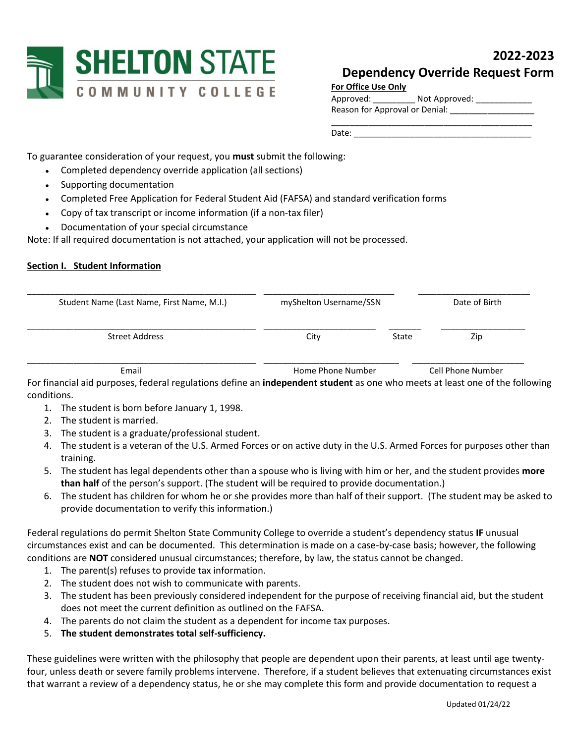

# **2022-2023 Dependency Override Request Form**

| Approved:                      | Not Approved: |
|--------------------------------|---------------|
| Reason for Approval or Denial: |               |

Date: \_\_\_\_\_\_\_\_\_\_\_\_\_\_\_\_\_\_\_\_\_\_\_\_\_\_\_\_\_\_\_\_\_\_\_\_\_\_

To guarantee consideration of your request, you **must** submit the following:

- Completed dependency override application (all sections)
- Supporting documentation
- Completed Free Application for Federal Student Aid (FAFSA) and standard verification forms
- Copy of tax transcript or income information (if a non-tax filer)
- Documentation of your special circumstance

Note: If all required documentation is not attached, your application will not be processed.

# **Section I. Student Information**

| Student Name (Last Name, First Name, M.I.) | myShelton Username/SSN |       | Date of Birth     |
|--------------------------------------------|------------------------|-------|-------------------|
| Street Address                             | City                   | State | Zip               |
| Email                                      | Home Phone Number      |       | Cell Phone Number |

For financial aid purposes, federal regulations define an **independent student** as one who meets at least one of the following conditions.

- 1. The student is born before January 1, 1998.
- 2. The student is married.
- 3. The student is a graduate/professional student.
- 4. The student is a veteran of the U.S. Armed Forces or on active duty in the U.S. Armed Forces for purposes other than training.
- 5. The student has legal dependents other than a spouse who is living with him or her, and the student provides **more than half** of the person's support. (The student will be required to provide documentation.)
- 6. The student has children for whom he or she provides more than half of their support. (The student may be asked to provide documentation to verify this information.)

Federal regulations do permit Shelton State Community College to override a student's dependency status **IF** unusual circumstances exist and can be documented. This determination is made on a case-by-case basis; however, the following conditions are **NOT** considered unusual circumstances; therefore, by law, the status cannot be changed.

- 1. The parent(s) refuses to provide tax information.
- 2. The student does not wish to communicate with parents.
- 3. The student has been previously considered independent for the purpose of receiving financial aid, but the student does not meet the current definition as outlined on the FAFSA.
- 4. The parents do not claim the student as a dependent for income tax purposes.
- 5. **The student demonstrates total self-sufficiency.**

These guidelines were written with the philosophy that people are dependent upon their parents, at least until age twentyfour, unless death or severe family problems intervene. Therefore, if a student believes that extenuating circumstances exist that warrant a review of a dependency status, he or she may complete this form and provide documentation to request a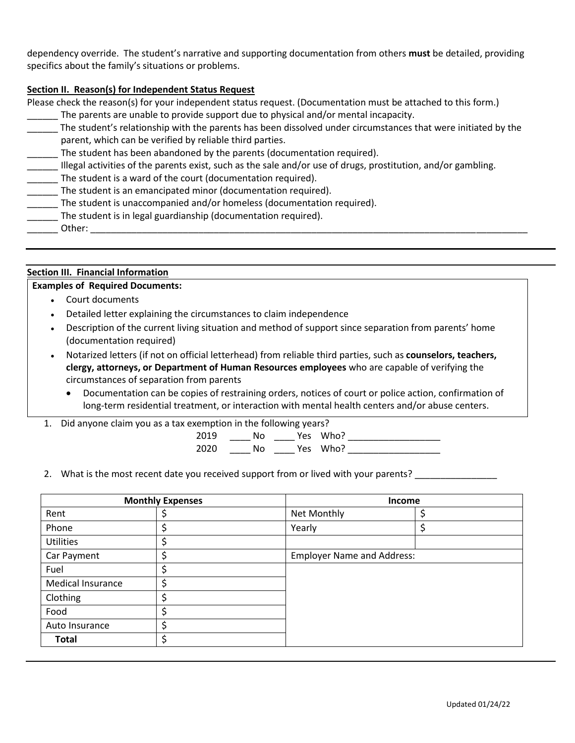dependency override. The student's narrative and supporting documentation from others **must** be detailed, providing specifics about the family's situations or problems.

# **Section II. Reason(s) for Independent Status Request**

Please check the reason(s) for your independent status request. (Documentation must be attached to this form.)

- The parents are unable to provide support due to physical and/or mental incapacity.
- The student's relationship with the parents has been dissolved under circumstances that were initiated by the parent, which can be verified by reliable third parties.
- \_\_\_\_\_\_ The student has been abandoned by the parents (documentation required).
- Illegal activities of the parents exist, such as the sale and/or use of drugs, prostitution, and/or gambling.
- \_\_\_\_\_\_ The student is a ward of the court (documentation required).
- \_\_\_\_\_\_ The student is an emancipated minor (documentation required).
- The student is unaccompanied and/or homeless (documentation required).
- \_\_\_\_\_\_ The student is in legal guardianship (documentation required).
- $Other:$

# **Section III. Financial Information**

# **Examples of Required Documents:**

- Court documents
- Detailed letter explaining the circumstances to claim independence
- Description of the current living situation and method of support since separation from parents' home (documentation required)
- Notarized letters (if not on official letterhead) from reliable third parties, such as **counselors, teachers, clergy, attorneys, or Department of Human Resources employees** who are capable of verifying the circumstances of separation from parents
	- Documentation can be copies of restraining orders, notices of court or police action, confirmation of long-term residential treatment, or interaction with mental health centers and/or abuse centers.
- 1. Did anyone claim you as a tax exemption in the following years?

2019 \_\_\_\_ No \_\_\_\_ Yes Who? \_\_\_\_\_\_\_\_\_\_\_\_\_\_\_\_\_\_ 2020 \_\_\_\_ No \_\_\_\_ Yes Who? \_\_\_\_\_\_\_\_\_\_\_\_\_\_\_\_\_\_

2. What is the most recent date you received support from or lived with your parents?

| <b>Monthly Expenses</b>  |        | <b>Income</b>                     |  |  |
|--------------------------|--------|-----------------------------------|--|--|
| Rent                     | ⊋      | Net Monthly                       |  |  |
| Phone                    |        | Yearly                            |  |  |
| <b>Utilities</b>         | c<br>Ç |                                   |  |  |
| Car Payment              | \$     | <b>Employer Name and Address:</b> |  |  |
| Fuel                     |        |                                   |  |  |
| <b>Medical Insurance</b> | Ć<br>⊋ |                                   |  |  |
| Clothing                 | ċ      |                                   |  |  |
| Food                     | \$     |                                   |  |  |
| Auto Insurance           | ċ      |                                   |  |  |
| <b>Total</b>             | \$     |                                   |  |  |